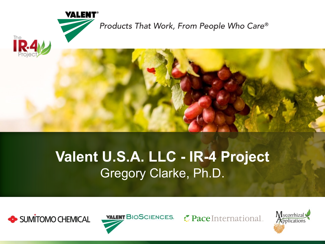

## **Valent U.S.A. LLC - IR-4 Project** Gregory Clarke, Ph.D.

*Products That Work, From People Who Care®* 





PaceInternational

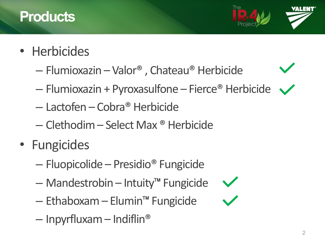#### **Products**



- Herbicides
	- Flumioxazin Valor® , Chateau® Herbicide
	- Flumioxazin + Pyroxasulfone Fierce® Herbicide
	- Lactofen Cobra® Herbicide
	- Clethodim Select Max ® Herbicide
- Fungicides
	- Fluopicolide Presidio® Fungicide
	- Mandestrobin Intuity™ Fungicide
	- Ethaboxam Elumin™ Fungicide
	- $-$  Inpyrfluxam Indiflin<sup>®</sup>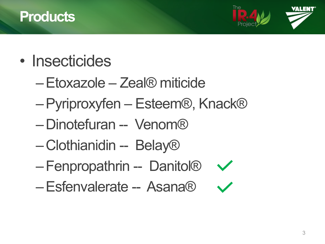#### **Products**



- Insecticides
	- –Etoxazole Zeal® miticide
	- –Pyriproxyfen Esteem®, Knack®
	- Dinotefuran -- Venom®
	- Clothianidin -- Belay®
	- Fenpropathrin Danitol®  $\sqrt{}$
	- –Esfenvalerate Asana®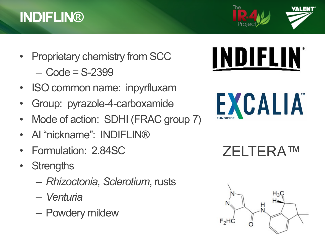### **INDIFLIN®**

- Proprietary chemistry from SCC  $-$  Code = S-2399
- ISO common name: inpyrfluxam
- Group: pyrazole-4-carboxamide
- Mode of action: SDHI (FRAC group 7)
- AI "nickname": INDIFLIN®
- Formulation: 2.84SC
- **Strengths** 
	- *Rhizoctonia, Sclerotium*, rusts
	- *Venturia*
	- Powdery mildew





EXCALIA

ZELTERA™

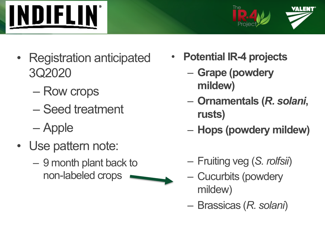



- Registration anticipated 3Q2020
	- Row crops
	- Seed treatment
	- Apple
- Use pattern note:
	- 9 month plant back to non-labeled crops



- **Potential IR-4 projects**
	- **Grape (powdery mildew)**
	- **Ornamentals (***R. solani***, rusts)**
	- **Hops (powdery mildew)**
	- Fruiting veg (*S. rolfsii*)
	- Cucurbits (powdery mildew)
	- Brassicas (*R. solani*)